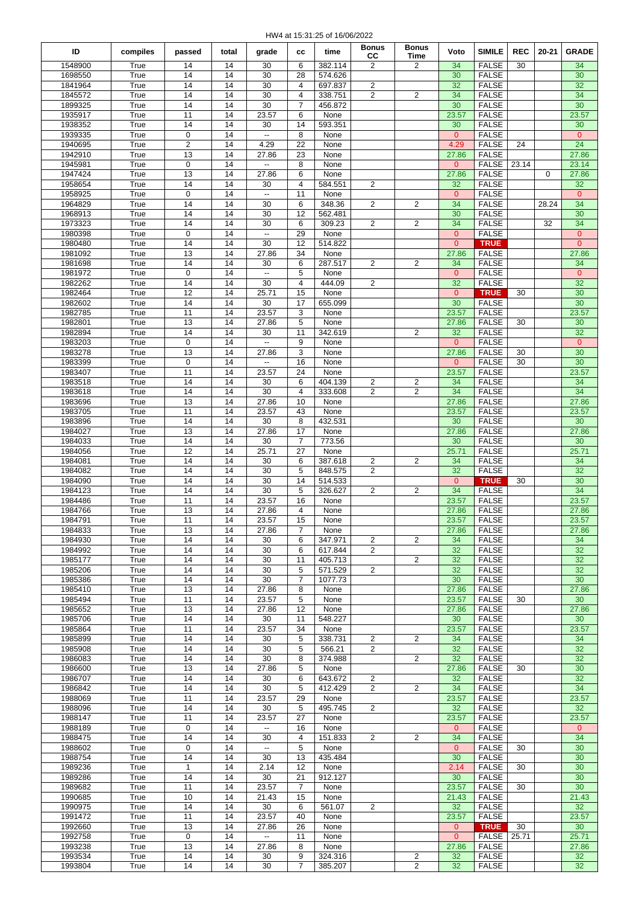HW4 at 15:31:25 of 16/06/2022

|                    |              |                       |          |                          |                     |                    | <b>Bonus</b>                     | <b>Bonus</b>        |                       |                               |            |          |                                  |
|--------------------|--------------|-----------------------|----------|--------------------------|---------------------|--------------------|----------------------------------|---------------------|-----------------------|-------------------------------|------------|----------|----------------------------------|
| ID                 | compiles     | passed                | total    | grade                    | СC                  | time               | CC                               | Time                | Voto                  | <b>SIMILE</b>                 | <b>REC</b> | 20-21    | <b>GRADE</b>                     |
| 1548900            | True         | 14                    | 14       | 30                       | 6                   | 382.114            | 2                                | 2                   | 34                    | <b>FALSE</b>                  | 30         |          | 34                               |
| 1698550            | True         | 14                    | 14       | 30                       | 28                  | 574.626            |                                  |                     | 30                    | <b>FALSE</b>                  |            |          | 30                               |
| 1841964            | True         | 14                    | 14       | 30                       | 4                   | 697.837            | 2                                |                     | 32                    | <b>FALSE</b>                  |            |          | 32                               |
| 1845572<br>1899325 | True<br>True | 14<br>14              | 14<br>14 | 30<br>30                 | 4<br>$\overline{7}$ | 338.751<br>456.872 | 2                                | $\overline{c}$      | 34<br>30              | <b>FALSE</b><br><b>FALSE</b>  |            |          | 34<br>$\overline{30}$            |
| 1935917            | True         | 11                    | 14       | 23.57                    | 6                   | None               |                                  |                     | 23.57                 | <b>FALSE</b>                  |            |          | 23.57                            |
| 1938352            | True         | 14                    | 14       | 30                       | 14                  | 593.351            |                                  |                     | 30                    | <b>FALSE</b>                  |            |          | 30                               |
| 1939335            | True         | 0                     | 14       | $\overline{\phantom{a}}$ | 8                   | None               |                                  |                     | $\overline{0}$        | <b>FALSE</b>                  |            |          | $\overline{0}$                   |
| 1940695            | True         | $\overline{2}$        | 14       | 4.29                     | 22                  | None               |                                  |                     | 4.29                  | <b>FALSE</b>                  | 24         |          | 24                               |
| 1942910            | True         | 13                    | 14       | 27.86                    | 23                  | None               |                                  |                     | 27.86                 | <b>FALSE</b>                  |            |          | 27.86                            |
| 1945981            | True         | $\mathbf 0$           | 14       | цц.                      | 8                   | None               |                                  |                     | $\overline{0}$        | <b>FALSE</b>                  | 23.14      |          | 23.14                            |
| 1947424            | True         | 13                    | 14       | 27.86                    | 6                   | None               |                                  |                     | 27.86                 | <b>FALSE</b>                  |            | $\Omega$ | 27.86                            |
| 1958654            | True         | 14                    | 14       | 30                       | 4                   | 584.551            | 2                                |                     | 32                    | <b>FALSE</b>                  |            |          | 32                               |
| 1958925            | True         | $\mathsf 0$           | 14       | $\mathbb{Z}^2$           | 11                  | None               |                                  |                     | $\mathbf{0}$          | <b>FALSE</b>                  |            |          | $\mathbf{0}$                     |
| 1964829            | True         | 14                    | 14       | 30                       | 6                   | 348.36             | 2                                | 2                   | 34                    | <b>FALSE</b>                  |            | 28.24    | 34                               |
| 1968913            | True         | 14                    | 14       | 30                       | 12                  | 562.481            |                                  |                     | 30                    | <b>FALSE</b>                  |            |          | 30                               |
| 1973323            | True         | 14                    | 14       | 30                       | 6                   | 309.23             | 2                                | 2                   | 34                    | <b>FALSE</b>                  |            | 32       | 34                               |
| 1980398<br>1980480 | True<br>True | $\mathbf 0$<br>14     | 14<br>14 | $\ddotsc$<br>30          | 29<br>12            | None<br>514.822    |                                  |                     | $\Omega$<br>$\Omega$  | <b>FALSE</b><br><b>TRUE</b>   |            |          | $\overline{0}$<br>$\overline{0}$ |
| 1981092            | True         | 13                    | 14       | 27.86                    | 34                  | None               |                                  |                     | 27.86                 | <b>FALSE</b>                  |            |          | 27.86                            |
| 1981698            | True         | 14                    | 14       | 30                       | 6                   | 287.517            | $\mathbf{2}$                     | $\overline{c}$      | 34                    | <b>FALSE</b>                  |            |          | 34                               |
| 1981972            | True         | $\mathsf 0$           | 14       | $\sim$                   | 5                   | None               |                                  |                     | $\overline{0}$        | <b>FALSE</b>                  |            |          | $\mathbf{0}$                     |
| 1982262            | True         | 14                    | 14       | 30                       | $\overline{4}$      | 444.09             | 2                                |                     | 32                    | <b>FALSE</b>                  |            |          | 32                               |
| 1982464            | True         | 12                    | 14       | 25.71                    | 15                  | None               |                                  |                     | $\overline{0}$        | <b>TRUE</b>                   | 30         |          | 30                               |
| 1982602            | True         | 14                    | 14       | 30                       | 17                  | 655.099            |                                  |                     | 30                    | <b>FALSE</b>                  |            |          | 30                               |
| 1982785            | True         | 11                    | 14       | 23.57                    | 3                   | None               |                                  |                     | 23.57                 | <b>FALSE</b>                  |            |          | 23.57                            |
| 1982801            | True         | 13                    | 14       | 27.86                    | 5                   | None               |                                  |                     | 27.86                 | <b>FALSE</b>                  | 30         |          | 30                               |
| 1982894            | True         | 14                    | 14       | 30                       | 11                  | 342.619            |                                  | 2                   | 32                    | <b>FALSE</b>                  |            |          | $\overline{32}$                  |
| 1983203            | True         | $\mathsf 0$           | 14       | $\mathbb{Z}^2$           | 9                   | None               |                                  |                     | $\overline{0}$        | <b>FALSE</b>                  |            |          | $\mathbf{0}$                     |
| 1983278            | True         | 13                    | 14       | 27.86                    | 3                   | None               |                                  |                     | 27.86                 | <b>FALSE</b>                  | 30         |          | $\overline{30}$                  |
| 1983399            | True         | $\mathbf 0$           | 14       | $\ddot{\phantom{a}}$     | 16                  | None               |                                  |                     | $\mathbf{0}$          | <b>FALSE</b>                  | 30         |          | 30                               |
| 1983407            | True         | 11                    | 14       | 23.57                    | 24                  | None               |                                  |                     | 23.57                 | <b>FALSE</b>                  |            |          | 23.57                            |
| 1983518<br>1983618 | True<br>True | 14<br>14              | 14<br>14 | 30<br>30                 | 6<br>4              | 404.139<br>333.608 | $\overline{c}$<br>$\overline{c}$ | 2<br>$\overline{2}$ | 34<br>34              | <b>FALSE</b><br><b>FALSE</b>  |            |          | 34<br>34                         |
| 1983696            | True         | 13                    | 14       | 27.86                    | 10                  | None               |                                  |                     | 27.86                 | <b>FALSE</b>                  |            |          | 27.86                            |
| 1983705            | True         | 11                    | 14       | 23.57                    | 43                  | None               |                                  |                     | 23.57                 | <b>FALSE</b>                  |            |          | 23.57                            |
| 1983896            | True         | 14                    | 14       | 30                       | 8                   | 432.531            |                                  |                     | 30                    | <b>FALSE</b>                  |            |          | 30                               |
| 1984027            | True         | 13                    | 14       | 27.86                    | 17                  | None               |                                  |                     | 27.86                 | <b>FALSE</b>                  |            |          | 27.86                            |
| 1984033            | True         | 14                    | 14       | 30                       | $\overline{7}$      | 773.56             |                                  |                     | 30                    | <b>FALSE</b>                  |            |          | 30                               |
| 1984056            | True         | 12                    | 14       | 25.71                    | 27                  | None               |                                  |                     | 25.71                 | <b>FALSE</b>                  |            |          | 25.71                            |
| 1984081            | True         | 14                    | 14       | 30                       | 6                   | 387.618            | 2                                | $\overline{c}$      | 34                    | <b>FALSE</b>                  |            |          | 34                               |
| 1984082            | True         | 14                    | 14       | 30                       | 5                   | 848.575            | 2                                |                     | 32                    | <b>FALSE</b>                  |            |          | 32                               |
| 1984090            | True         | 14                    | 14       | 30                       | 14                  | 514.533            |                                  |                     | $\overline{0}$        | <b>TRUE</b>                   | 30         |          | $\overline{30}$                  |
| 1984123            | True         | 14                    | 14       | 30                       | 5                   | 326.627            | 2                                | 2                   | 34                    | <b>FALSE</b>                  |            |          | $\overline{34}$                  |
| 1984486            | True         | 11                    | 14       | 23.57                    | 16                  | None               |                                  |                     | 23.57                 | <b>FALSE</b>                  |            |          | 23.57                            |
| 1984766            | True         | 13                    | 14       | 27.86                    | 4                   | None               |                                  |                     | 27.86                 | <b>FALSE</b>                  |            |          | 27.86                            |
| 1984791            | True         | $11\,$                | 14       | 23.57                    | 15                  | None               |                                  |                     | 23.57                 | <b>FALSE</b>                  |            |          | 23.57                            |
| 1984833            | True         | 13                    | 14       | 27.86                    | 7                   | None               |                                  |                     | 27.86                 | <b>FALSE</b>                  |            |          | 27.86                            |
| 1984930<br>1984992 | True<br>True | 14<br>14              | 14<br>14 | 30<br>30                 | 6<br>6              | 347.971<br>617.844 | $\overline{2}$<br>$\overline{2}$ | 2                   | 34<br>32              | <b>FALSE</b><br><b>FALSE</b>  |            |          | 34<br>32                         |
| 1985177            | True         | 14                    | 14       | 30                       | 11                  | 405.713            |                                  | $\overline{c}$      | 32                    | <b>FALSE</b>                  |            |          | 32                               |
| 1985206            | True         | 14                    | 14       | 30                       | 5                   | 571.529            | $\overline{2}$                   |                     | 32                    | <b>FALSE</b>                  |            |          | 32                               |
| 1985386            | True         | 14                    | 14       | 30                       | $\overline{7}$      | 1077.73            |                                  |                     | 30                    | <b>FALSE</b>                  |            |          | 30                               |
| 1985410            | True         | 13                    | 14       | 27.86                    | 8                   | None               |                                  |                     | 27.86                 | <b>FALSE</b>                  |            |          | 27.86                            |
| 1985494            | True         | 11                    | 14       | 23.57                    | 5                   | None               |                                  |                     | 23.57                 | <b>FALSE</b>                  | 30         |          | 30                               |
| 1985652            | True         | 13                    | 14       | 27.86                    | 12                  | None               |                                  |                     | 27.86                 | <b>FALSE</b>                  |            |          | 27.86                            |
| 1985706            | True         | 14                    | 14       | 30                       | 11                  | 548.227            |                                  |                     | 30                    | <b>FALSE</b>                  |            |          | 30                               |
| 1985864            | True         | 11                    | 14       | 23.57                    | 34                  | None               |                                  |                     | 23.57                 | <b>FALSE</b>                  |            |          | 23.57                            |
| 1985899            | True         | 14                    | 14       | 30                       | 5                   | 338.731            | $\overline{2}$                   | $\overline{c}$      | 34                    | <b>FALSE</b>                  |            |          | 34                               |
| 1985908            | True         | 14                    | 14       | 30                       | 5                   | 566.21             | $\overline{c}$                   |                     | 32                    | <b>FALSE</b>                  |            |          | 32                               |
| 1986083            | True         | 14                    | 14       | 30                       | 8                   | 374.988            |                                  | $\overline{c}$      | 32                    | <b>FALSE</b>                  |            |          | 32                               |
| 1986600            | True         | 13                    | 14       | 27.86                    | 5                   | None               |                                  |                     | 27.86                 | <b>FALSE</b>                  | 30         |          | 30                               |
| 1986707            | True         | 14                    | 14       | 30                       | 6                   | 643.672            | $\overline{2}$                   |                     | 32                    | <b>FALSE</b>                  |            |          | 32                               |
| 1986842            | True         | 14                    | 14       | 30                       | 5                   | 412.429            | 2                                | $\overline{c}$      | 34                    | <b>FALSE</b>                  |            |          | 34                               |
| 1988069            | True         | 11                    | 14       | 23.57                    | 29                  | None               |                                  |                     | 23.57                 | <b>FALSE</b>                  |            |          | 23.57                            |
| 1988096<br>1988147 | True<br>True | 14<br>11              | 14<br>14 | 30<br>23.57              | 5<br>27             | 495.745<br>None    | 2                                |                     | 32<br>23.57           | <b>FALSE</b><br><b>FALSE</b>  |            |          | 32<br>23.57                      |
| 1988189            | True         | 0                     | 14       | $\overline{\phantom{a}}$ | 16                  | None               |                                  |                     | $\mathbf{0}$          | <b>FALSE</b>                  |            |          | $\overline{0}$                   |
| 1988475            | True         | 14                    | 14       | 30                       | 4                   | 151.833            | $\overline{2}$                   | 2                   | 34                    | <b>FALSE</b>                  |            |          | 34                               |
| 1988602            | True         | 0                     | 14       | $\mathbb{Z}^2$           | 5                   | None               |                                  |                     | $\overline{0}$        | <b>FALSE</b>                  | 30         |          | 30                               |
| 1988754            | True         | 14                    | 14       | 30                       | 13                  | 435.484            |                                  |                     | 30                    | <b>FALSE</b>                  |            |          | 30                               |
| 1989236            | True         | $\mathbf{1}$          | 14       | 2.14                     | 12                  | None               |                                  |                     | 2.14                  | <b>FALSE</b>                  | 30         |          | 30                               |
| 1989286            | True         | 14                    | 14       | 30                       | 21                  | 912.127            |                                  |                     | 30                    | <b>FALSE</b>                  |            |          | 30                               |
| 1989682            | True         | 11                    | 14       | 23.57                    | $\overline{7}$      | None               |                                  |                     | 23.57                 | <b>FALSE</b>                  | 30         |          | 30                               |
| 1990685            | True         | 10                    | 14       | 21.43                    | 15                  | None               |                                  |                     | 21.43                 | <b>FALSE</b>                  |            |          | 21.43                            |
| 1990975            | True         | 14                    | 14       | 30                       | 6                   | 561.07             | 2                                |                     | 32                    | <b>FALSE</b>                  |            |          | 32                               |
| 1991472            | True         | 11                    | 14       | 23.57                    | 40                  | None               |                                  |                     | 23.57                 | <b>FALSE</b>                  |            |          | 23.57                            |
| 1992660            | True         | 13                    | 14       | 27.86                    | 26                  | None               |                                  |                     | $\mathbf{0}$          | <b>TRUE</b>                   | 30         |          | 30                               |
| 1992758            | True         | 0                     | 14       | $\overline{\phantom{a}}$ | 11                  | None               |                                  |                     | $\mathbf{0}$          | <b>FALSE</b>                  | 25.71      |          | 25.71                            |
| 1993238            | True         | 13                    | 14       | 27.86                    | 8                   | None               |                                  |                     | 27.86                 | <b>FALSE</b>                  |            |          | 27.86                            |
| 1993534<br>1993804 | True<br>True | 14<br>$\overline{14}$ | 14<br>14 | 30<br>30                 | 9<br>$\overline{7}$ | 324.316<br>385.207 |                                  | 2<br>$\overline{2}$ | 32<br>32 <sup>2</sup> | <b>FALSE</b><br><b>FAI SF</b> |            |          | 32<br>$\overline{32}$            |